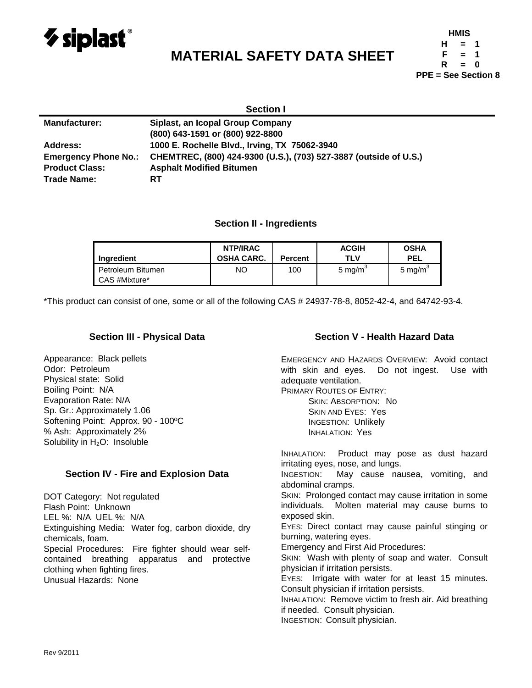

# **MATERIAL SAFETY DATA SHEET**

| <b>HMIS</b>                |          |   |  |  |  |
|----------------------------|----------|---|--|--|--|
| н                          | $=$      | 1 |  |  |  |
| F                          | $\equiv$ | 1 |  |  |  |
| R                          | $=$      | n |  |  |  |
| <b>PPE = See Section 8</b> |          |   |  |  |  |

| <b>Section I</b>            |                                                                   |  |  |  |
|-----------------------------|-------------------------------------------------------------------|--|--|--|
| <b>Manufacturer:</b>        | Siplast, an Icopal Group Company                                  |  |  |  |
|                             | (800) 643-1591 or (800) 922-8800                                  |  |  |  |
| <b>Address:</b>             | 1000 E. Rochelle Blvd., Irving, TX 75062-3940                     |  |  |  |
| <b>Emergency Phone No.:</b> | CHEMTREC, (800) 424-9300 (U.S.), (703) 527-3887 (outside of U.S.) |  |  |  |
| <b>Product Class:</b>       | <b>Asphalt Modified Bitumen</b>                                   |  |  |  |
| <b>Trade Name:</b>          | RТ                                                                |  |  |  |

# **Section II - Ingredients**

| Ingredient                         | NTP/IRAC<br><b>OSHA CARC.</b> | <b>Percent</b> | <b>ACGIH</b><br>TLV | <b>OSHA</b><br><b>PEL</b> |
|------------------------------------|-------------------------------|----------------|---------------------|---------------------------|
| Petroleum Bitumen<br>CAS #Mixture* | ΝO                            | 100            | 5 mg/m <sup>3</sup> | 5 mg/m <sup>3</sup>       |

\*This product can consist of one, some or all of the following CAS # 24937-78-8, 8052-42-4, and 64742-93-4.

#### **Section III - Physical Data**

Appearance: Black pellets Odor: Petroleum Physical state: Solid Boiling Point: N/A Evaporation Rate: N/A Sp. Gr.: Approximately 1.06 Softening Point: Approx. 90 - 100ºC % Ash: Approximately 2% Solubility in  $H_2O$ : Insoluble

#### **Section IV - Fire and Explosion Data**

DOT Category: Not regulated Flash Point: Unknown LEL %: N/A UEL %: N/A Extinguishing Media: Water fog, carbon dioxide, dry chemicals, foam. Special Procedures: Fire fighter should wear selfcontained breathing apparatus and protective clothing when fighting fires. Unusual Hazards: None

## **Section V - Health Hazard Data**

EMERGENCY AND HAZARDS OVERVIEW: Avoid contact with skin and eyes. Do not ingest. Use with adequate ventilation.

PRIMARY ROUTES OF ENTRY:

SKIN: ABSORPTION: No SKIN AND EYES: Yes INGESTION: Unlikely INHALATION: Yes

INHALATION: Product may pose as dust hazard irritating eyes, nose, and lungs.

INGESTION: May cause nausea, vomiting, and abdominal cramps.

SKIN: Prolonged contact may cause irritation in some individuals. Molten material may cause burns to exposed skin.

EYES: Direct contact may cause painful stinging or burning, watering eyes.

Emergency and First Aid Procedures:

SKIN: Wash with plenty of soap and water. Consult physician if irritation persists.

EYES: Irrigate with water for at least 15 minutes. Consult physician if irritation persists.

INHALATION: Remove victim to fresh air. Aid breathing if needed. Consult physician.

INGESTION: Consult physician.